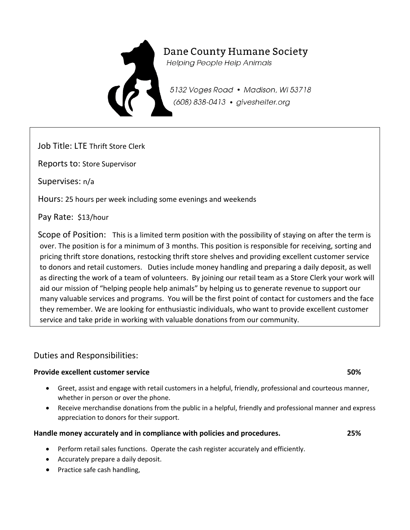

# Dane County Humane Society

**Helping People Help Animals** 

5132 Voges Road • Madison, WI 53718 (608) 838-0413 · giveshelter.org

Job Title: LTE Thrift Store Clerk

Reports to: Store Supervisor

Supervises: n/a

Hours: 25 hours per week including some evenings and weekends

Pay Rate: \$13/hour

Scope of Position: This is a limited term position with the possibility of staying on after the term is over. The position is for a minimum of 3 months. This position is responsible for receiving, sorting and pricing thrift store donations, restocking thrift store shelves and providing excellent customer service to donors and retail customers. Duties include money handling and preparing a daily deposit, as well as directing the work of a team of volunteers. By joining our retail team as a Store Clerk your work will aid our mission of "helping people help animals" by helping us to generate revenue to support our many valuable services and programs. You will be the first point of contact for customers and the face they remember. We are looking for enthusiastic individuals, who want to provide excellent customer service and take pride in working with valuable donations from our community.

## Duties and Responsibilities:

### **Provide excellent customer service 50%**

- Greet, assist and engage with retail customers in a helpful, friendly, professional and courteous manner, whether in person or over the phone.
- Receive merchandise donations from the public in a helpful, friendly and professional manner and express appreciation to donors for their support.

### **Handle money accurately and in compliance with policies and procedures. 25%**

- Perform retail sales functions. Operate the cash register accurately and efficiently.
- Accurately prepare a daily deposit.
- Practice safe cash handling,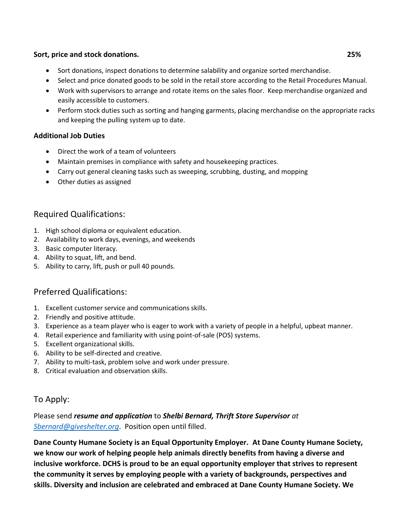#### **Sort, price and stock donations. 25%**

- Sort donations, inspect donations to determine salability and organize sorted merchandise.
- Select and price donated goods to be sold in the retail store according to the Retail Procedures Manual.
- Work with supervisors to arrange and rotate items on the sales floor. Keep merchandise organized and easily accessible to customers.
- Perform stock duties such as sorting and hanging garments, placing merchandise on the appropriate racks and keeping the pulling system up to date.

#### **Additional Job Duties**

- Direct the work of a team of volunteers
- Maintain premises in compliance with safety and housekeeping practices.
- Carry out general cleaning tasks such as sweeping, scrubbing, dusting, and mopping
- Other duties as assigned

## Required Qualifications:

- 1. High school diploma or equivalent education.
- 2. Availability to work days, evenings, and weekends
- 3. Basic computer literacy.
- 4. Ability to squat, lift, and bend.
- 5. Ability to carry, lift, push or pull 40 pounds.

## Preferred Qualifications:

- 1. Excellent customer service and communications skills.
- 2. Friendly and positive attitude.
- 3. Experience as a team player who is eager to work with a variety of people in a helpful, upbeat manner.
- 4. Retail experience and familiarity with using point-of-sale (POS) systems.
- 5. Excellent organizational skills.
- 6. Ability to be self-directed and creative.
- 7. Ability to multi-task, problem solve and work under pressure.
- 8. Critical evaluation and observation skills.

## To Apply:

## Please send *resume and application* to *Shelbi Bernard, Thrift Store Supervisor at [Sbernard@giveshelter.org](mailto:Sbernard@giveshelter.org)*. Position open until filled.

**Dane County Humane Society is an Equal Opportunity Employer. At Dane County Humane Society, we know our work of helping people help animals directly benefits from having a diverse and inclusive workforce. DCHS is proud to be an equal opportunity employer that strives to represent the community it serves by employing people with a variety of backgrounds, perspectives and skills. Diversity and inclusion are celebrated and embraced at Dane County Humane Society. We**